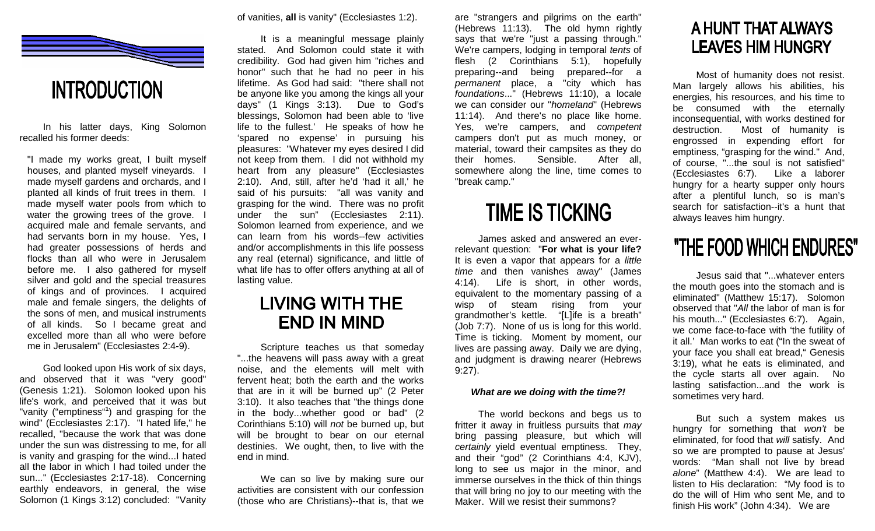

#### **INTRODUCTION**

 In his latter days, King Solomon recalled his former deeds:

"I made my works great, I built myself houses, and planted myself vineyards. I made myself gardens and orchards, and I planted all kinds of fruit trees in them. I made myself water pools from which to water the growing trees of the grove. I acquired male and female servants, and had servants born in my house. Yes, I had greater possessions of herds and flocks than all who were in Jerusalem before me. I also gathered for myself silver and gold and the special treasures of kings and of provinces. I acquired male and female singers, the delights of the sons of men, and musical instruments of all kinds. So I became great and excelled more than all who were before me in Jerusalem" (Ecclesiastes 2:4-9).

 God looked upon His work of six days, and observed that it was "very good" (Genesis 1:21). Solomon looked upon his life's work, and perceived that it was but "vanity ("emptiness"**<sup>1</sup>**) and grasping for the wind" (Ecclesiastes 2:17). "I hated life," he recalled, "because the work that was done under the sun was distressing to me, for all is vanity and grasping for the wind...I hated all the labor in which I had toiled under the sun..." (Ecclesiastes 2:17-18). Concerning earthly endeavors, in general, the wise Solomon (1 Kings 3:12) concluded: "Vanity of vanities, **all** is vanity" (Ecclesiastes 1:2).

 It is a meaningful message plainly stated. And Solomon could state it with credibility. God had given him "riches and honor" such that he had no peer in his lifetime. As God had said: "there shall not be anyone like you among the kings all your days" (1 Kings 3:13). Due to God's blessings, Solomon had been able to 'live life to the fullest.' He speaks of how he 'spared no expense' in pursuing his pleasures: "Whatever my eyes desired I did not keep from them. I did not withhold my heart from any pleasure" (Ecclesiastes 2:10). And, still, after he'd 'had it all,' he said of his pursuits: "all was vanity and grasping for the wind. There was no profit under the sun" (Ecclesiastes 2:11). Solomon learned from experience, and we can learn from his words--few activities and/or accomplishments in this life possess any real (eternal) significance, and little of what life has to offer offers anything at all of lasting value.

#### **LIVING WITH THE END IN MIND**

 Scripture teaches us that someday "...the heavens will pass away with a great noise, and the elements will melt with fervent heat; both the earth and the works that are in it will be burned up" (2 Peter 3:10). It also teaches that "the things done in the body...whether good or bad" (2 Corinthians 5:10) will not be burned up, but will be brought to bear on our eternal destinies. We ought, then, to live with the end in mind.

 We can so live by making sure our activities are consistent with our confession (those who are Christians)--that is, that we are "strangers and pilgrims on the earth" (Hebrews 11:13). The old hymn rightly says that we're "just a passing through." We're campers, lodging in temporal tents of flesh (2 Corinthians 5:1), hopefully preparing--and being prepared--for a permanent place, a "city which has foundations..." (Hebrews 11:10), a locale we can consider our "homeland" (Hebrews 11:14). And there's no place like home. Yes, we're campers, and competent campers don't put as much money, or material, toward their campsites as they do After all. their homes. Sensible. somewhere along the line, time comes to "break camp."

#### **TIME IS TICKING**

 James asked and answered an everrelevant question: "**For what is your life?** It is even a vapor that appears for a little time and then vanishes away" (James 4:14). Life is short, in other words, equivalent to the momentary passing of a wisp of steam rising from your grandmother's kettle. "[L]ife is a breath" (Job 7:7). None of us is long for this world. Time is ticking. Moment by moment, our lives are passing away. Daily we are dying, and judgment is drawing nearer (Hebrews 9:27).

#### **What are we doing with the time?!**

 The world beckons and begs us to fritter it away in fruitless pursuits that may bring passing pleasure, but which will certainly yield eventual emptiness. They, and their "god" (2 Corinthians 4:4, KJV), long to see us major in the minor, and immerse ourselves in the thick of thin things that will bring no joy to our meeting with the Maker. Will we resist their summons?

#### A HUNT THAT ALWAYS **LEAVES HIM HUNGRY**

 Most of humanity does not resist. Man largely allows his abilities, his energies, his resources, and his time to be consumed with the eternally inconsequential, with works destined for destruction. Most of humanity is engrossed in expending effort for emptiness, "grasping for the wind." And, of course, "...the soul is not satisfied" (Ecclesiastes 6:7). Like a laborer hungry for a hearty supper only hours after a plentiful lunch, so is man's search for satisfaction--it's a hunt that always leaves him hungry.

#### "THE FOOD WHICH ENDURES"

 Jesus said that "...whatever enters the mouth goes into the stomach and is eliminated" (Matthew 15:17). Solomon observed that "All the labor of man is for his mouth..." (Ecclesiastes 6:7). Again, we come face-to-face with 'the futility of it all.' Man works to eat ("In the sweat of your face you shall eat bread," Genesis 3:19), what he eats is eliminated, and the cycle starts all over again. No lasting satisfaction...and the work is sometimes very hard.

 But such a system makes us hungry for something that won't be eliminated, for food that will satisfy. And so we are prompted to pause at Jesus' words: "Man shall not live by bread alone" (Matthew 4:4). We are lead to listen to His declaration: "My food is to do the will of Him who sent Me, and to finish His work" (John 4:34). We are